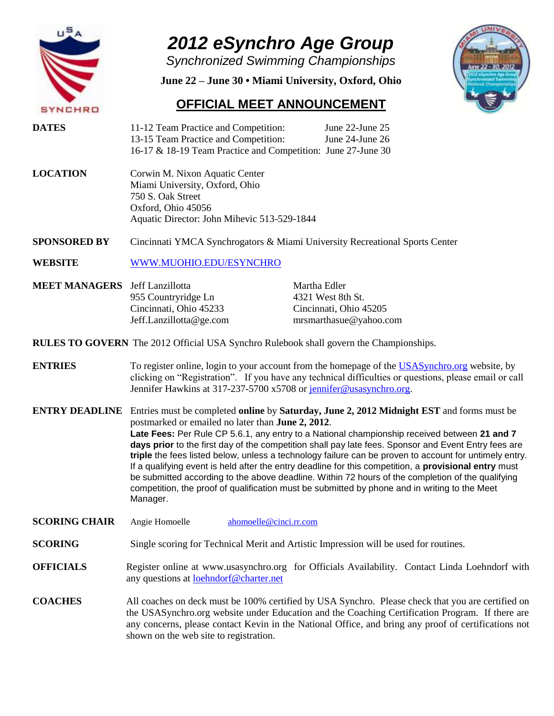

# *2012 eSynchro Age Group*

*Synchronized Swimming Championships* 

**June 22 – June 30 • Miami University, Oxford, Ohio**

### **OFFICIAL MEET ANNOUNCEMENT**



| DATES | 11-12 Team Practice and Competition:                         | June $22$ -June $25$ |
|-------|--------------------------------------------------------------|----------------------|
|       | 13-15 Team Practice and Competition:                         | June $24$ -June $26$ |
|       | 16-17 & 18-19 Team Practice and Competition: June 27-June 30 |                      |

**LOCATION** Corwin M. Nixon Aquatic Center Miami University, Oxford, Ohio 750 S. Oak Street Oxford, Ohio 45056 Aquatic Director: John Mihevic 513-529-1844

**SPONSORED BY** Cincinnati YMCA Synchrogators & Miami University Recreational Sports Center

#### **WEBSITE** [WWW.MUOHIO.EDU/ESYNCHRO](http://www.muohio.edu/ESYNCHRO)

| <b>MEET MANAGERS</b> Jeff Lanzillotta |                         |
|---------------------------------------|-------------------------|
|                                       | 955 Countryridge Ln     |
|                                       | Cincinnati, Ohio 45233  |
|                                       | Jeff.Lanzillotta@ge.com |

**Martha Edler** 4321 West 8th St. Cincinnati, Ohio 45205 [mrsmarthasue@yahoo.com](mailto:mrsmarthasue@yahoo.com)

**RULES TO GOVERN** The 2012 Official USA Synchro Rulebook shall govern the Championships.

- **ENTRIES** To register online, login to your account from the homepage of the [USASynchro.org](http://www.usasynchro.org/) website, by clicking on "Registration". If you have any technical difficulties or questions, please email or call Jennifer Hawkins at 317-237-5700 x5708 or [jennifer@usasynchro.org.](mailto:jennifer@usasynchro.org)
- **ENTRY DEADLINE** Entries must be completed **online** by **Saturday, June 2, 2012 Midnight EST** and forms must be postmarked or emailed no later than **June 2, 2012**. **Late Fees:** Per Rule CP 5.6.1, any entry to a National championship received between **21 and 7 days prior** to the first day of the competition shall pay late fees. Sponsor and Event Entry fees are **triple** the fees listed below, unless a technology failure can be proven to account for untimely entry. If a qualifying event is held after the entry deadline for this competition, a **provisional entry** must be submitted according to the above deadline. Within 72 hours of the completion of the qualifying competition, the proof of qualification must be submitted by phone and in writing to the Meet Manager.
- **SCORING CHAIR** Angie Homoelle **[ahomoelle@cinci.rr.com](mailto:ahomoelle@cinci.rr.com)**
- **SCORING** Single scoring for Technical Merit and Artistic Impression will be used for routines.
- **OFFICIALS** Register online at [www.usasynchro.org](http://www.usasynchro.org/) for Officials Availability. Contact Linda Loehndorf with any questions at [loehndorf@charter.net](mailto:loehndorf@charter.net)
- **COACHES** All coaches on deck must be 100% certified by USA Synchro. Please check that you are certified on the USASynchro.org website under Education and the Coaching Certification Program. If there are any concerns, please contact Kevin in the National Office, and bring any proof of certifications not shown on the web site to registration.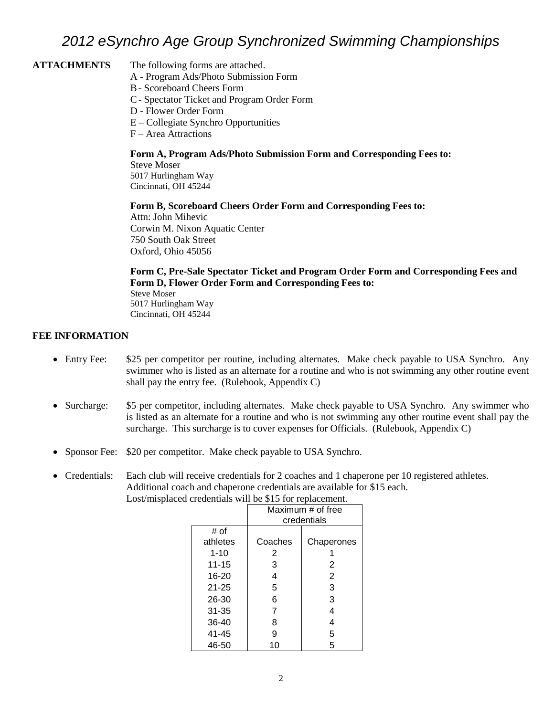- **ATTACHMENTS** The following forms are attached.
	- A Program Ads/Photo Submission Form
	- B- Scoreboard Cheers Form
	- C- Spectator Ticket and Program Order Form
	- D Flower Order Form
	- E Collegiate Synchro Opportunities
	- F Area Attractions

### **Form A, Program Ads/Photo Submission Form and Corresponding Fees to:**

Steve Moser 5017 Hurlingham Way Cincinnati, OH 45244

#### **Form B, Scoreboard Cheers Order Form and Corresponding Fees to:** Attn: John Mihevic

Corwin M. Nixon Aquatic Center 750 South Oak Street Oxford, Ohio 45056

#### **Form C, Pre-Sale Spectator Ticket and Program Order Form and Corresponding Fees and Form D, Flower Order Form and Corresponding Fees to:** Steve Moser

5017 Hurlingham Way Cincinnati, OH 45244

#### **FEE INFORMATION**

- Entry Fee: \$25 per competitor per routine, including alternates. Make check payable to USA Synchro. Any swimmer who is listed as an alternate for a routine and who is not swimming any other routine event shall pay the entry fee. (Rulebook, Appendix C)
- Surcharge: \$5 per competitor, including alternates. Make check payable to USA Synchro. Any swimmer who is listed as an alternate for a routine and who is not swimming any other routine event shall pay the surcharge. This surcharge is to cover expenses for Officials. (Rulebook, Appendix C)
- Sponsor Fee: \$20 per competitor. Make check payable to USA Synchro.
- Credentials: Each club will receive credentials for 2 coaches and 1 chaperone per 10 registered athletes. Additional coach and chaperone credentials are available for \$15 each. Lost/misplaced credentials will be \$15 for replacement.

|  |           | Maximum $#$ of free |            |  |  |  |  |  |  |  |
|--|-----------|---------------------|------------|--|--|--|--|--|--|--|
|  |           | credentials         |            |  |  |  |  |  |  |  |
|  | # of      |                     |            |  |  |  |  |  |  |  |
|  | athletes  | Coaches             | Chaperones |  |  |  |  |  |  |  |
|  | $1 - 10$  | 2                   |            |  |  |  |  |  |  |  |
|  | $11 - 15$ | 3                   | 2          |  |  |  |  |  |  |  |
|  | $16 - 20$ | 4                   | 2          |  |  |  |  |  |  |  |
|  | 21-25     | 5                   | 3          |  |  |  |  |  |  |  |
|  | 26-30     | 6                   | 3          |  |  |  |  |  |  |  |
|  | 31-35     |                     | 4          |  |  |  |  |  |  |  |
|  | 36-40     | 8                   | 4          |  |  |  |  |  |  |  |
|  | 41-45     | 9                   | 5          |  |  |  |  |  |  |  |
|  | 46-50     | 10                  | 5          |  |  |  |  |  |  |  |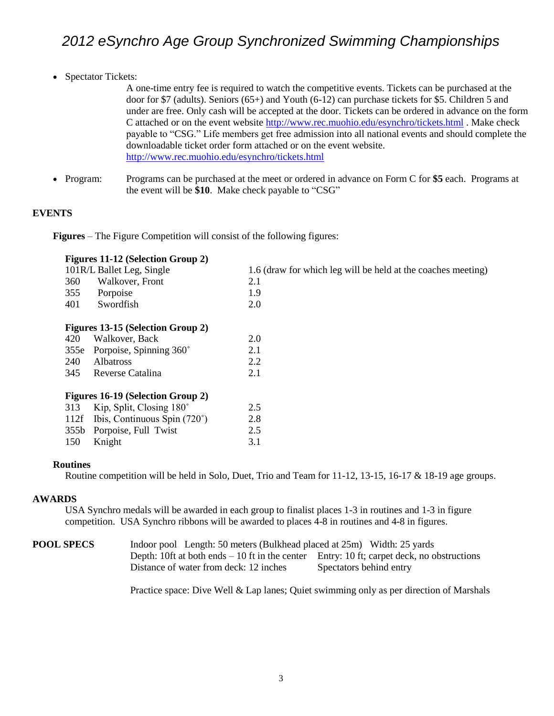• Spectator Tickets:

A one-time entry fee is required to watch the competitive events. Tickets can be purchased at the door for \$7 (adults). Seniors (65+) and Youth (6-12) can purchase tickets for \$5. Children 5 and under are free. Only cash will be accepted at the door. Tickets can be ordered in advance on the form C attached or on the event website<http://www.rec.muohio.edu/esynchro/tickets.html> . Make check payable to "CSG." Life members get free admission into all national events and should complete the downloadable ticket order form attached or on the event website. <http://www.rec.muohio.edu/esynchro/tickets.html>

 Program: Programs can be purchased at the meet or ordered in advance on Form C for **\$5** each. Programs at the event will be **\$10**. Make check payable to "CSG"

#### **EVENTS**

**Figures** – The Figure Competition will consist of the following figures:

#### **Figures 11-12 (Selection Group 2)**

150 Knight 3.1

|      | 101R/L Ballet Leg, Single                | 1.6 (draw for which leg will be held at the coaches meeting) |
|------|------------------------------------------|--------------------------------------------------------------|
| 360  | Walkover, Front                          | 2.1                                                          |
| 355  | Porpoise                                 | 1.9                                                          |
| 401  | Swordfish                                | 2.0                                                          |
|      | <b>Figures 13-15 (Selection Group 2)</b> |                                                              |
| 420  | Walkover, Back                           | 2.0                                                          |
| 355e | Porpoise, Spinning 360°                  | 2.1                                                          |
| 240  | <b>Albatross</b>                         | 2.2                                                          |
| 345  | Reverse Catalina                         | 2.1                                                          |
|      | <b>Figures 16-19 (Selection Group 2)</b> |                                                              |
| 313  | Kip, Split, Closing 180°                 | 2.5                                                          |
| 112f | Ibis, Continuous Spin $(720^{\circ})$    | 2.8                                                          |
|      | 355b Porpoise, Full Twist                | 2.5                                                          |

#### **Routines**

Routine competition will be held in Solo, Duet, Trio and Team for 11-12, 13-15, 16-17 & 18-19 age groups.

#### **AWARDS**

USA Synchro medals will be awarded in each group to finalist places 1-3 in routines and 1-3 in figure competition. USA Synchro ribbons will be awarded to places 4-8 in routines and 4-8 in figures.

**POOL SPECS** Indoor pool Length: 50 meters (Bulkhead placed at 25m) Width: 25 yards Depth: 10ft at both ends  $-10$  ft in the center Entry: 10 ft; carpet deck, no obstructions Distance of water from deck: 12 inches Spectators behind entry

Practice space: Dive Well & Lap lanes; Quiet swimming only as per direction of Marshals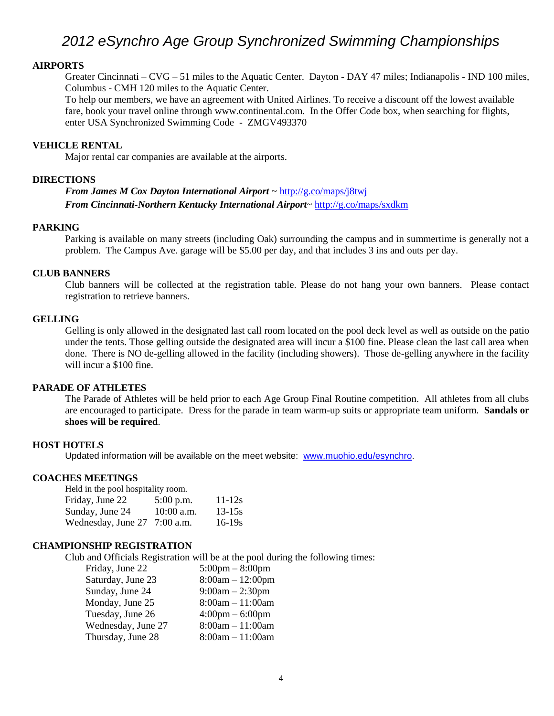#### **AIRPORTS**

Greater Cincinnati – CVG – 51 miles to the Aquatic Center. Dayton - DAY 47 miles; Indianapolis - IND 100 miles, Columbus - CMH 120 miles to the Aquatic Center.

To help our members, we have an agreement with United Airlines. To receive a discount off the lowest available fare, book your travel online through [www.continental.com.](http://www.continental.com/) In the Offer Code box, when searching for flights, enter USA Synchronized Swimming Code - ZMGV493370

#### **VEHICLE RENTAL**

Major rental car companies are available at the airports.

#### **DIRECTIONS**

*From James M Cox Dayton International Airport* ~<http://g.co/maps/j8twj> *From [Cincinnati-Northern Kentucky](http://maps.google.com/maps/place?cid=11251854501916773030&q=Cincinnati-Northern+Kentucky+International+Airport&cd=1&cad=src:ppiwlink,view:smartmaps&ei=YR48T8qGJonswAHn1ozSCw&dtab=2) International Airport*~<http://g.co/maps/sxdkm>

#### **PARKING**

Parking is available on many streets (including Oak) surrounding the campus and in summertime is generally not a problem. The Campus Ave. garage will be \$5.00 per day, and that includes 3 ins and outs per day.

#### **CLUB BANNERS**

Club banners will be collected at the registration table. Please do not hang your own banners. Please contact registration to retrieve banners.

#### **GELLING**

Gelling is only allowed in the designated last call room located on the pool deck level as well as outside on the patio under the tents. Those gelling outside the designated area will incur a \$100 fine. Please clean the last call area when done. There is NO de-gelling allowed in the facility (including showers). Those de-gelling anywhere in the facility will incur a \$100 fine.

#### **PARADE OF ATHLETES**

The Parade of Athletes will be held prior to each Age Group Final Routine competition. All athletes from all clubs are encouraged to participate. Dress for the parade in team warm-up suits or appropriate team uniform. **Sandals or shoes will be required**.

#### **HOST HOTELS**

Updated information will be available on the meet website: [www.muohio.edu/esynchro.](http://www.muohio.edu/esynchro)

#### **COACHES MEETINGS**

| Held in the pool hospitality room. |              |            |
|------------------------------------|--------------|------------|
| Friday, June 22                    | $5:00$ p.m.  | $11 - 12s$ |
| Sunday, June 24                    | $10:00$ a.m. | $13 - 15s$ |
| Wednesday, June 27 7:00 a.m.       |              | $16 - 19s$ |

#### **CHAMPIONSHIP REGISTRATION**

Club and Officials Registration will be at the pool during the following times:

| $5:00 \text{pm} - 8:00 \text{pm}$ |
|-----------------------------------|
| $8:00am - 12:00pm$                |
| $9:00am - 2:30pm$                 |
| $8:00am - 11:00am$                |
| $4:00 \text{pm} - 6:00 \text{pm}$ |
| $8:00am - 11:00am$                |
| $8:00am - 11:00am$                |
|                                   |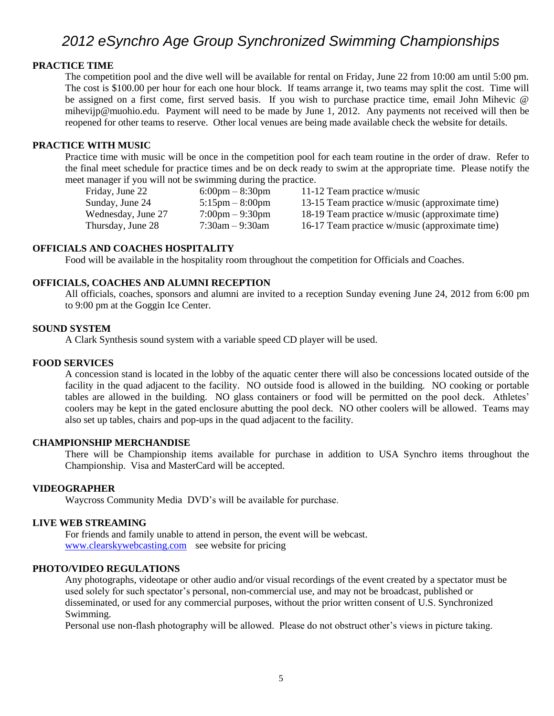#### **PRACTICE TIME**

The competition pool and the dive well will be available for rental on Friday, June 22 from 10:00 am until 5:00 pm. The cost is \$100.00 per hour for each one hour block. If teams arrange it, two teams may split the cost. Time will be assigned on a first come, first served basis. If you wish to purchase practice time, email John Mihevic @ [mihevijp@muohio.edu.](mailto:mihevijp@muohio.edu) Payment will need to be made by June 1, 2012. Any payments not received will then be reopened for other teams to reserve. Other local venues are being made available check the website for details.

#### **PRACTICE WITH MUSIC**

Practice time with music will be once in the competition pool for each team routine in the order of draw. Refer to the final meet schedule for practice times and be on deck ready to swim at the appropriate time. Please notify the meet manager if you will not be swimming during the practice.

Friday, June 22 6:00pm – 8:30pm 11-12 Team practice w/music

Sunday, June 24 5:15pm – 8:00pm 13-15 Team practice w/music (approximate time) Wednesday, June 27 7:00pm – 9:30pm 18-19 Team practice w/music (approximate time) Thursday, June 28 7:30am – 9:30am 16-17 Team practice w/music (approximate time)

#### **OFFICIALS AND COACHES HOSPITALITY**

Food will be available in the hospitality room throughout the competition for Officials and Coaches.

#### **OFFICIALS, COACHES AND ALUMNI RECEPTION**

All officials, coaches, sponsors and alumni are invited to a reception Sunday evening June 24, 2012 from 6:00 pm to 9:00 pm at the Goggin Ice Center.

#### **SOUND SYSTEM**

A Clark Synthesis sound system with a variable speed CD player will be used.

#### **FOOD SERVICES**

A concession stand is located in the lobby of the aquatic center there will also be concessions located outside of the facility in the quad adjacent to the facility. NO outside food is allowed in the building. NO cooking or portable tables are allowed in the building. NO glass containers or food will be permitted on the pool deck. Athletes' coolers may be kept in the gated enclosure abutting the pool deck. NO other coolers will be allowed. Teams may also set up tables, chairs and pop-ups in the quad adjacent to the facility.

#### **CHAMPIONSHIP MERCHANDISE**

There will be Championship items available for purchase in addition to USA Synchro items throughout the Championship. Visa and MasterCard will be accepted.

#### **VIDEOGRAPHER**

Waycross Community Media DVD's will be available for purchase.

#### **LIVE WEB STREAMING**

For friends and family unable to attend in person, the event will be webcast. [www.clearskywebcasting.com](http://www.clearskywebcasting.com/) see website for pricing

#### **PHOTO/VIDEO REGULATIONS**

Any photographs, videotape or other audio and/or visual recordings of the event created by a spectator must be used solely for such spectator's personal, non-commercial use, and may not be broadcast, published or disseminated, or used for any commercial purposes, without the prior written consent of U.S. Synchronized Swimming.

Personal use non-flash photography will be allowed. Please do not obstruct other's views in picture taking.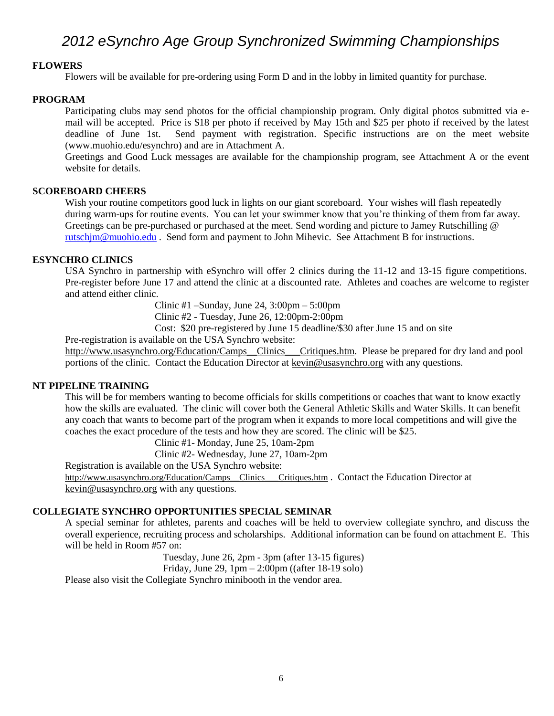#### **FLOWERS**

Flowers will be available for pre-ordering using Form D and in the lobby in limited quantity for purchase.

#### **PROGRAM**

Participating clubs may send photos for the official championship program. Only digital photos submitted via email will be accepted. Price is \$18 per photo if received by May 15th and \$25 per photo if received by the latest deadline of June 1st. Send payment with registration. Specific instructions are on the meet website [\(www.muohio.edu/esynchro\)](http://www.muohio.edu/esynchro) and are in Attachment A.

Greetings and Good Luck messages are available for the championship program, see Attachment A or the event website for details.

#### **SCOREBOARD CHEERS**

Wish your routine competitors good luck in lights on our giant scoreboard. Your wishes will flash repeatedly during warm-ups for routine events. You can let your swimmer know that you're thinking of them from far away. Greetings can be pre-purchased or purchased at the meet. Send wording and picture to Jamey Rutschilling @ [rutschjm@muohio.edu](mailto:rutschjm@muohio.edu) . Send form and payment to John Mihevic. See Attachment B for instructions.

#### **ESYNCHRO CLINICS**

USA Synchro in partnership with eSynchro will offer 2 clinics during the 11-12 and 13-15 figure competitions. Pre-register before June 17 and attend the clinic at a discounted rate. Athletes and coaches are welcome to register and attend either clinic.

Clinic #1 –Sunday, June 24,  $3:00 \text{pm} - 5:00 \text{pm}$ 

Clinic #2 - Tuesday, June 26, 12:00pm-2:00pm

Cost: \$20 pre-registered by June 15 deadline/\$30 after June 15 and on site

Pre-registration is available on the USA Synchro website:

http://www.usasynchro.org/Education/Camps Clinics Critiques.htm. Please be prepared for dry land and pool portions of the clinic. Contact the Education Director at [kevin@usasynchro.org](mailto:kevin@usasynchro.org) with any questions.

#### **NT PIPELINE TRAINING**

This will be for members wanting to become officials for skills competitions or coaches that want to know exactly how the skills are evaluated. The clinic will cover both the General Athletic Skills and Water Skills. It can benefit any coach that wants to become part of the program when it expands to more local competitions and will give the coaches the exact procedure of the tests and how they are scored. The clinic will be \$25.

Clinic #1- Monday, June 25, 10am-2pm

Clinic #2- Wednesday, June 27, 10am-2pm

Registration is available on the USA Synchro website:

[http://www.usasynchro.org/Education/Camps\\_\\_Clinics\\_\\_\\_Critiques.htm](http://www.usasynchro.org/Education/Camps__Clinics___Critiques.htm) . Contact the Education Director at

[kevin@usasynchro.org](mailto:kevin@usasynchro.org) with any questions.

#### **COLLEGIATE SYNCHRO OPPORTUNITIES SPECIAL SEMINAR**

A special seminar for athletes, parents and coaches will be held to overview collegiate synchro, and discuss the overall experience, recruiting process and scholarships. Additional information can be found on attachment E. This will be held in Room #57 on:

Tuesday, June 26, 2pm - 3pm (after 13-15 figures)

Friday, June 29, 1pm – 2:00pm ((after 18-19 solo)

Please also visit the Collegiate Synchro minibooth in the vendor area.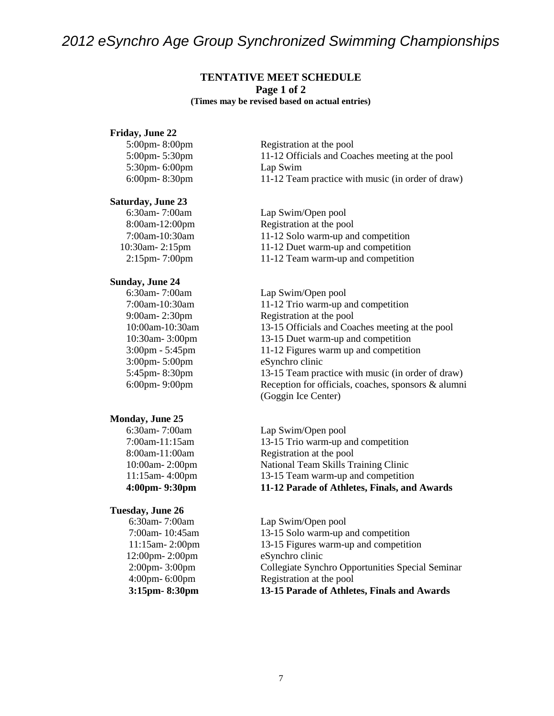### **TENTATIVE MEET SCHEDULE Page 1 of 2**

**(Times may be revised based on actual entries)**

#### **Friday, June 22**

5:30pm- 6:00pm Lap Swim

5:00pm- 8:00pm Registration at the pool 5:00pm- 5:30pm 11-12 Officials and Coaches meeting at the pool 6:00pm- 8:30pm 11-12 Team practice with music (in order of draw)

#### **Saturday, June 23**

#### **Sunday, June 24**

3:00pm- 5:00pm eSynchro clinic

#### **Monday, June 25**

#### **Tuesday, June 26**

12:00pm- 2:00pm eSynchro clinic

6:30am- 7:00am Lap Swim/Open pool 8:00am-12:00pm Registration at the pool 7:00am-10:30am 11-12 Solo warm-up and competition 10:30am- 2:15pm 11-12 Duet warm-up and competition 2:15pm- 7:00pm 11-12 Team warm-up and competition

6:30am- 7:00am Lap Swim/Open pool 7:00am-10:30am 11-12 Trio warm-up and competition 9:00am- 2:30pm Registration at the pool 10:00am-10:30am 13-15 Officials and Coaches meeting at the pool 10:30am- 3:00pm 13-15 Duet warm-up and competition 3:00pm - 5:45pm 11-12 Figures warm up and competition 5:45pm- 8:30pm 13-15 Team practice with music (in order of draw) 6:00pm- 9:00pm Reception for officials, coaches, sponsors & alumni (Goggin Ice Center)

6:30am- 7:00am Lap Swim/Open pool 7:00am-11:15am 13-15 Trio warm-up and competition 8:00am-11:00am Registration at the pool 10:00am- 2:00pm National Team Skills Training Clinic 11:15am- 4:00pm 13-15 Team warm-up and competition **4:00pm- 9:30pm 11-12 Parade of Athletes, Finals, and Awards**

6:30am- 7:00am Lap Swim/Open pool 7:00am- 10:45am 13-15 Solo warm-up and competition 11:15am- 2:00pm 13-15 Figures warm-up and competition 2:00pm- 3:00pm Collegiate Synchro Opportunities Special Seminar 4:00pm- 6:00pm Registration at the pool **3:15pm- 8:30pm 13-15 Parade of Athletes, Finals and Awards**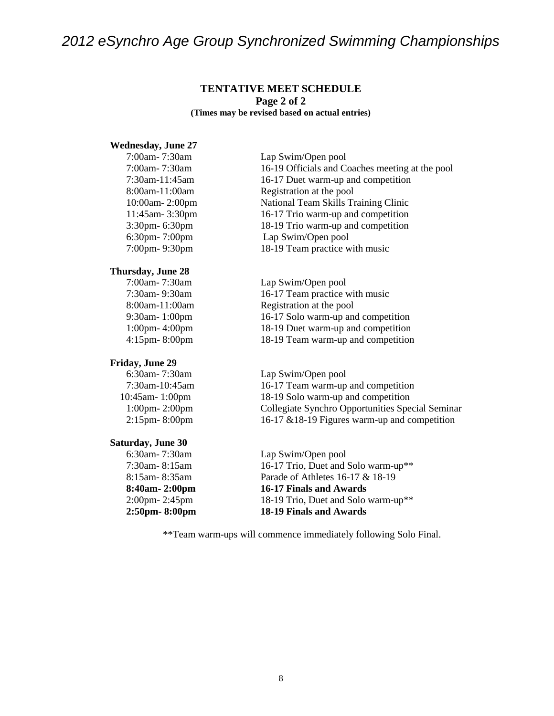#### **TENTATIVE MEET SCHEDULE Page 2 of 2**

**(Times may be revised based on actual entries)**

#### **Wednesday, June 27**

7:00am- 7:30am Lap Swim/Open pool 7:00am- 7:30am 16-19 Officials and Coaches meeting at the pool 7:30am-11:45am 16-17 Duet warm-up and competition 8:00am-11:00am Registration at the pool 10:00am- 2:00pm National Team Skills Training Clinic 11:45am- 3:30pm 16-17 Trio warm-up and competition 3:30pm- 6:30pm 18-19 Trio warm-up and competition 6:30pm- 7:00pm Lap Swim/Open pool 7:00pm- 9:30pm 18-19 Team practice with music

#### **Thursday, June 28**

7:00am- 7:30am Lap Swim/Open pool

#### **Friday, June 29**

#### **Saturday, June 30**

7:30am- 9:30am 16-17 Team practice with music 8:00am-11:00am Registration at the pool 9:30am- 1:00pm 16-17 Solo warm-up and competition 1:00pm- 4:00pm 18-19 Duet warm-up and competition 4:15pm- 8:00pm 18-19 Team warm-up and competition

6:30am- 7:30am Lap Swim/Open pool 7:30am-10:45am 16-17 Team warm-up and competition 10:45am- 1:00pm 18-19 Solo warm-up and competition 1:00pm- 2:00pm Collegiate Synchro Opportunities Special Seminar 2:15pm- 8:00pm 16-17 &18-19 Figures warm-up and competition

6:30am- 7:30am Lap Swim/Open pool 7:30am- 8:15am 16-17 Trio, Duet and Solo warm-up\*\* 8:15am- 8:35am Parade of Athletes 16-17 & 18-19 **8:40am- 2:00pm 16-17 Finals and Awards** 2:00pm- 2:45pm 18-19 Trio, Duet and Solo warm-up\*\* **2:50pm- 8:00pm 18-19 Finals and Awards**

\*\*Team warm-ups will commence immediately following Solo Final.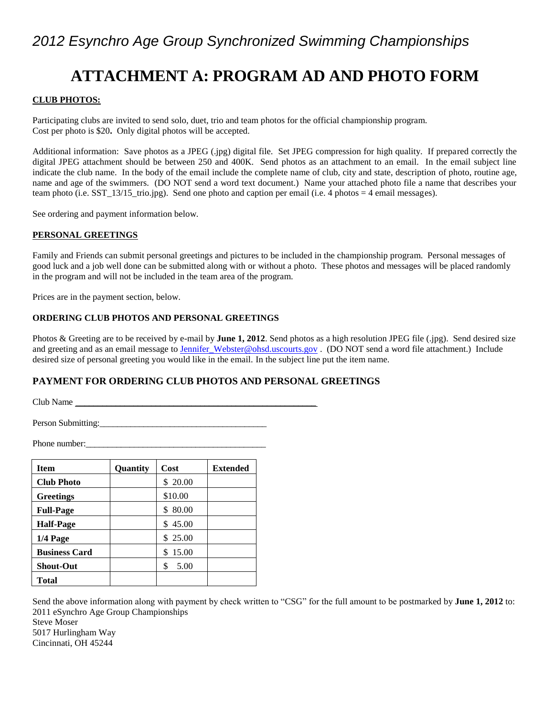### **ATTACHMENT A: PROGRAM AD AND PHOTO FORM**

#### **CLUB PHOTOS:**

Participating clubs are invited to send solo, duet, trio and team photos for the official championship program. Cost per photo is \$20**.** Only digital photos will be accepted.

Additional information: Save photos as a JPEG (.jpg) digital file. Set JPEG compression for high quality. If prepared correctly the digital JPEG attachment should be between 250 and 400K. Send photos as an attachment to an email. In the email subject line indicate the club name. In the body of the email include the complete name of club, city and state, description of photo, routine age, name and age of the swimmers. (DO NOT send a word text document.) Name your attached photo file a name that describes your team photo (i.e. SST\_13/15\_trio.jpg). Send one photo and caption per email (i.e. 4 photos = 4 email messages).

See ordering and payment information below.

#### **PERSONAL GREETINGS**

Family and Friends can submit personal greetings and pictures to be included in the championship program. Personal messages of good luck and a job well done can be submitted along with or without a photo. These photos and messages will be placed randomly in the program and will not be included in the team area of the program.

Prices are in the payment section, below.

#### **ORDERING CLUB PHOTOS AND PERSONAL GREETINGS**

Photos & Greeting are to be received by e-mail by **June 1, 2012**. Send photos as a high resolution JPEG file (.jpg). Send desired size and greeting and as an email message to Jennifer Webster@ohsd.uscourts.gov . (DO NOT send a word file attachment.) Include desired size of personal greeting you would like in the email. In the subject line put the item name.

#### **PAYMENT FOR ORDERING CLUB PHOTOS AND PERSONAL GREETINGS**

Club Name

Person Submitting:\_\_\_\_\_\_\_\_\_\_\_\_\_\_\_\_\_\_\_\_\_\_\_\_\_\_\_\_\_\_\_\_\_\_\_\_\_\_

Phone number:

| <b>Item</b>          | <b>Ouantity</b> | Cost        | <b>Extended</b> |
|----------------------|-----------------|-------------|-----------------|
| <b>Club Photo</b>    |                 | 20.00<br>\$ |                 |
| <b>Greetings</b>     |                 | \$10.00     |                 |
| <b>Full-Page</b>     |                 | 80.00<br>S  |                 |
| <b>Half-Page</b>     |                 | 45.00<br>S  |                 |
| 1/4 Page             |                 | \$25.00     |                 |
| <b>Business Card</b> |                 | 15.00<br>S  |                 |
| <b>Shout-Out</b>     |                 | \$<br>5.00  |                 |
| <b>Total</b>         |                 |             |                 |

Send the above information along with payment by check written to "CSG" for the full amount to be postmarked by **June 1, 2012** to: 2011 eSynchro Age Group Championships Steve Moser 5017 Hurlingham Way

Cincinnati, OH 45244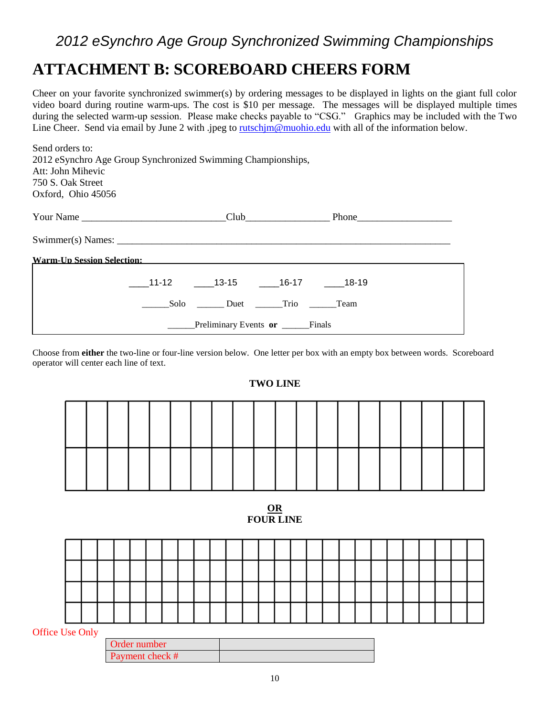### **ATTACHMENT B: SCOREBOARD CHEERS FORM**

Cheer on your favorite synchronized swimmer(s) by ordering messages to be displayed in lights on the giant full color video board during routine warm-ups. The cost is \$10 per message. The messages will be displayed multiple times during the selected warm-up session. Please make checks payable to "CSG." Graphics may be included with the Two Line Cheer. Send via email by June 2 with .jpeg to rutschim@muohio.edu with all of the information below.

| Send orders to:                                                                                                                                                                                                                     |      |                              |  |  |
|-------------------------------------------------------------------------------------------------------------------------------------------------------------------------------------------------------------------------------------|------|------------------------------|--|--|
| 2012 eSynchro Age Group Synchronized Swimming Championships,                                                                                                                                                                        |      |                              |  |  |
| Att: John Mihevic                                                                                                                                                                                                                   |      |                              |  |  |
| 750 S. Oak Street                                                                                                                                                                                                                   |      |                              |  |  |
| Oxford, Ohio 45056                                                                                                                                                                                                                  |      |                              |  |  |
|                                                                                                                                                                                                                                     |      |                              |  |  |
|                                                                                                                                                                                                                                     |      |                              |  |  |
|                                                                                                                                                                                                                                     |      |                              |  |  |
|                                                                                                                                                                                                                                     |      |                              |  |  |
|                                                                                                                                                                                                                                     |      |                              |  |  |
| <b>Warm-Up Session Selection:</b> And the set of the set of the set of the set of the set of the set of the set of the set of the set of the set of the set of the set of the set of the set of the set of the set of the set of th |      |                              |  |  |
|                                                                                                                                                                                                                                     |      |                              |  |  |
|                                                                                                                                                                                                                                     |      |                              |  |  |
|                                                                                                                                                                                                                                     | Solo | Duet Trio Team               |  |  |
|                                                                                                                                                                                                                                     |      |                              |  |  |
|                                                                                                                                                                                                                                     |      | Preliminary Events or Finals |  |  |
|                                                                                                                                                                                                                                     |      |                              |  |  |

Choose from **either** the two-line or four-line version below. One letter per box with an empty box between words. Scoreboard operator will center each line of text.

#### **TWO LINE**

**OR FOUR LINE**

Office Use Only

| Order number    |  |
|-----------------|--|
| Payment check # |  |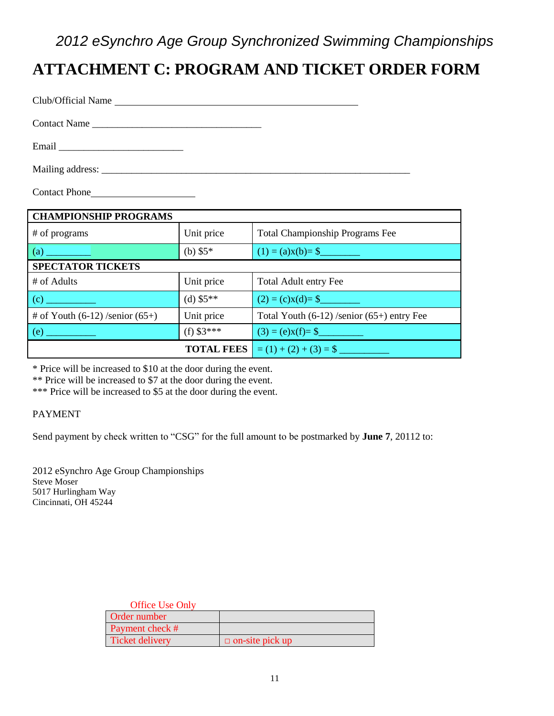### **ATTACHMENT C: PROGRAM AND TICKET ORDER FORM**

| Club/Official Name  |  |
|---------------------|--|
|                     |  |
| <b>Contact Name</b> |  |
|                     |  |
| Email               |  |

| Mailing address: |  |
|------------------|--|
|                  |  |

Contact Phone

| <b>CHAMPIONSHIP PROGRAMS</b>        |                   |                                                |  |  |  |
|-------------------------------------|-------------------|------------------------------------------------|--|--|--|
| # of programs                       | Unit price        | <b>Total Championship Programs Fee</b>         |  |  |  |
| $\left( a\right)$ $\qquad \qquad$   | (b) $$5^*$        | $(1) = (a)x(b) = $$                            |  |  |  |
| <b>SPECTATOR TICKETS</b>            |                   |                                                |  |  |  |
| # of Adults                         | Unit price        | <b>Total Adult entry Fee</b>                   |  |  |  |
|                                     | (d) $$5**$$       | $(2) = (c)x(d) = $$                            |  |  |  |
| # of Youth $(6-12)$ /senior $(65+)$ | Unit price        | Total Youth $(6-12)$ /senior $(65+)$ entry Fee |  |  |  |
|                                     | (f) $$3***$       | $(3) = (e)x(f) = $$                            |  |  |  |
|                                     | <b>TOTAL FEES</b> | $= (1) + (2) + (3) = $$                        |  |  |  |

\* Price will be increased to \$10 at the door during the event.

\*\* Price will be increased to \$7 at the door during the event.

\*\*\* Price will be increased to \$5 at the door during the event.

#### PAYMENT

Send payment by check written to "CSG" for the full amount to be postmarked by **June 7**, 20112 to:

2012 eSynchro Age Group Championships Steve Moser 5017 Hurlingham Way Cincinnati, OH 45244

| <b>Office Use Only</b> |                        |
|------------------------|------------------------|
| Order number           |                        |
| Payment check #        |                        |
| Ticket delivery        | $\Box$ on-site pick up |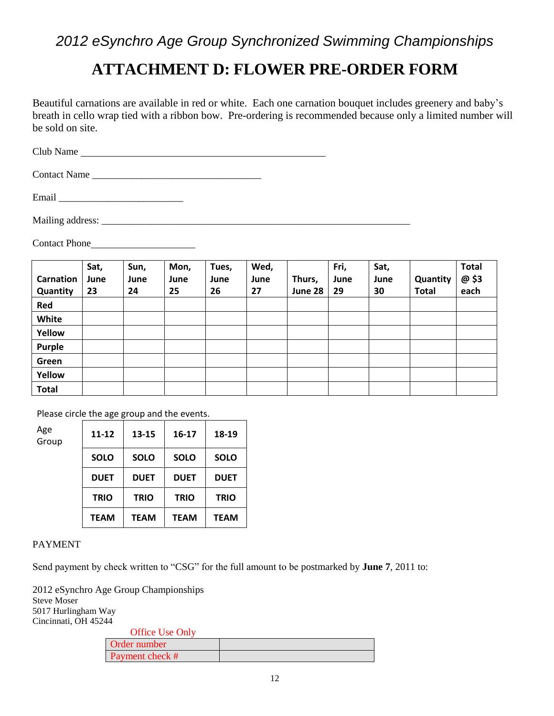# *2012 eSynchro Age Group Synchronized Swimming Championships* **ATTACHMENT D: FLOWER PRE-ORDER FORM**

Beautiful carnations are available in red or white. Each one carnation bouquet includes greenery and baby's breath in cello wrap tied with a ribbon bow. Pre-ordering is recommended because only a limited number will be sold on site.

Club Name

Contact Name \_\_\_\_\_\_\_\_\_\_\_\_\_\_\_\_\_\_\_\_\_\_\_\_\_\_\_\_\_\_\_\_\_\_

Email \_\_\_\_\_\_\_\_\_\_\_\_\_\_\_\_\_\_\_\_\_\_\_\_\_

Mailing address: \_\_\_\_\_\_\_\_\_\_\_\_\_\_\_\_\_\_\_\_\_\_\_\_\_\_\_\_\_\_\_\_\_\_\_\_\_\_\_\_\_\_\_\_\_\_\_\_\_\_\_\_\_\_\_\_\_\_\_\_\_\_

Contact Phone

| Carnation<br>Quantity | Sat,<br>June<br>23 | Sun,<br>June<br>24 | Mon,<br>June<br>25 | Tues,<br>June<br>26 | Wed,<br>June<br>27 | Thurs,<br>June 28 | Fri,<br>June<br>29 | Sat,<br>June<br>30 | Quantity<br><b>Total</b> | <b>Total</b><br>@\$3<br>each |
|-----------------------|--------------------|--------------------|--------------------|---------------------|--------------------|-------------------|--------------------|--------------------|--------------------------|------------------------------|
| Red                   |                    |                    |                    |                     |                    |                   |                    |                    |                          |                              |
| White                 |                    |                    |                    |                     |                    |                   |                    |                    |                          |                              |
| Yellow                |                    |                    |                    |                     |                    |                   |                    |                    |                          |                              |
| <b>Purple</b>         |                    |                    |                    |                     |                    |                   |                    |                    |                          |                              |
| Green                 |                    |                    |                    |                     |                    |                   |                    |                    |                          |                              |
| Yellow                |                    |                    |                    |                     |                    |                   |                    |                    |                          |                              |
| <b>Total</b>          |                    |                    |                    |                     |                    |                   |                    |                    |                          |                              |

Please circle the age group and the events.

| Age<br>Group | $11 - 12$   | 13-15       | 16-17       | 18-19       |
|--------------|-------------|-------------|-------------|-------------|
|              | <b>SOLO</b> | <b>SOLO</b> | <b>SOLO</b> | <b>SOLO</b> |
|              | <b>DUET</b> | <b>DUET</b> | <b>DUET</b> | <b>DUET</b> |
|              | <b>TRIO</b> | <b>TRIO</b> | <b>TRIO</b> | <b>TRIO</b> |
|              | <b>TEAM</b> | <b>TEAM</b> | <b>TEAM</b> | <b>TEAM</b> |

#### PAYMENT

Send payment by check written to "CSG" for the full amount to be postmarked by **June 7**, 2011 to:

2012 eSynchro Age Group Championships Steve Moser 5017 Hurlingham Way Cincinnati, OH 45244

Office Use Only

| Order number    |  |
|-----------------|--|
| Payment check # |  |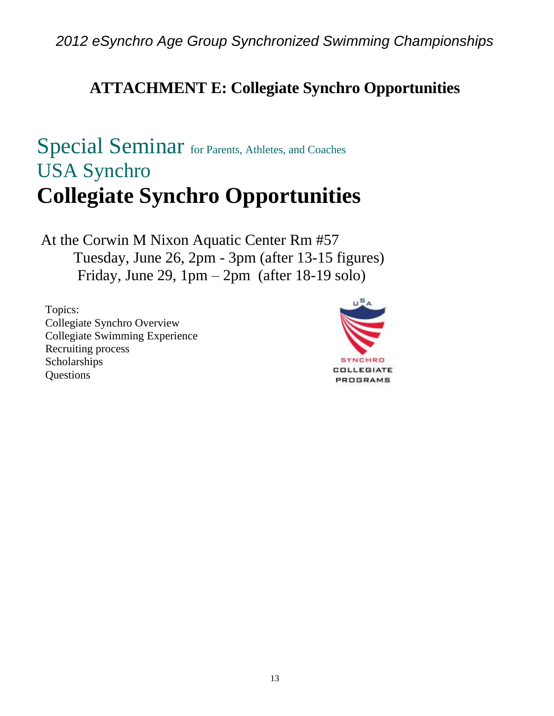### **ATTACHMENT E: Collegiate Synchro Opportunities**

# Special Seminar for Parents, Athletes, and Coaches USA Synchro **Collegiate Synchro Opportunities**

At the Corwin M Nixon Aquatic Center Rm #57 Tuesday, June 26, 2pm - 3pm (after 13-15 figures) Friday, June 29, 1pm – 2pm (after 18-19 solo)

Topics: Collegiate Synchro Overview Collegiate Swimming Experience Recruiting process Scholarships **Questions** 

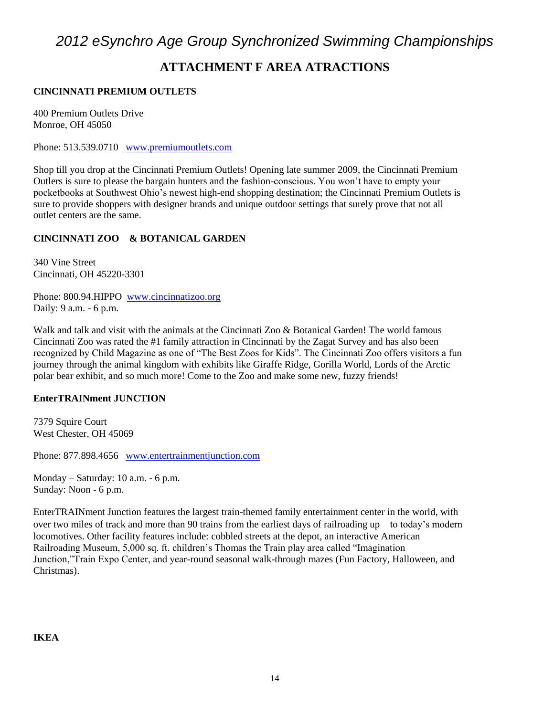# *2012 eSynchro Age Group Synchronized Swimming Championships* **ATTACHMENT F AREA ATRACTIONS**

#### **CINCINNATI PREMIUM OUTLETS**

400 Premium Outlets Drive Monroe, OH 45050

Phone: 513.539.0710 [www.premiumoutlets.com](http://www.premiumoutlets.com/)

Shop till you drop at the Cincinnati Premium Outlets! Opening late summer 2009, the Cincinnati Premium Outlers is sure to please the bargain hunters and the fashion-conscious. You won't have to empty your pocketbooks at Southwest Ohio's newest high-end shopping destination; the Cincinnati Premium Outlets is sure to provide shoppers with designer brands and unique outdoor settings that surely prove that not all outlet centers are the same.

#### **CINCINNATI ZOO & BOTANICAL GARDEN**

340 Vine Street Cincinnati, OH 45220-3301

Phone: 800.94.HIPPO [www.cincinnatizoo.org](http://www.cincinnatizoo.org/) Daily: 9 a.m. - 6 p.m.

Walk and talk and visit with the animals at the Cincinnati Zoo & Botanical Garden! The world famous Cincinnati Zoo was rated the #1 family attraction in Cincinnati by the Zagat Survey and has also been recognized by Child Magazine as one of "The Best Zoos for Kids". The Cincinnati Zoo offers visitors a fun journey through the animal kingdom with exhibits like Giraffe Ridge, Gorilla World, Lords of the Arctic polar bear exhibit, and so much more! Come to the Zoo and make some new, fuzzy friends!

#### **EnterTRAINment JUNCTION**

7379 Squire Court West Chester, OH 45069

Phone: 877.898.4656 [www.entertrainmentjunction.com](http://www.entertrainmentjunction.com/)

Monday – Saturday: 10 a.m. - 6 p.m. Sunday: Noon - 6 p.m.

EnterTRAINment Junction features the largest train-themed family entertainment center in the world, with over two miles of track and more than 90 trains from the earliest days of railroading up to today's modern locomotives. Other facility features include: cobbled streets at the depot, an interactive American Railroading Museum, 5,000 sq. ft. children's Thomas the Train play area called "Imagination Junction,"Train Expo Center, and year-round seasonal walk-through mazes (Fun Factory, Halloween, and Christmas).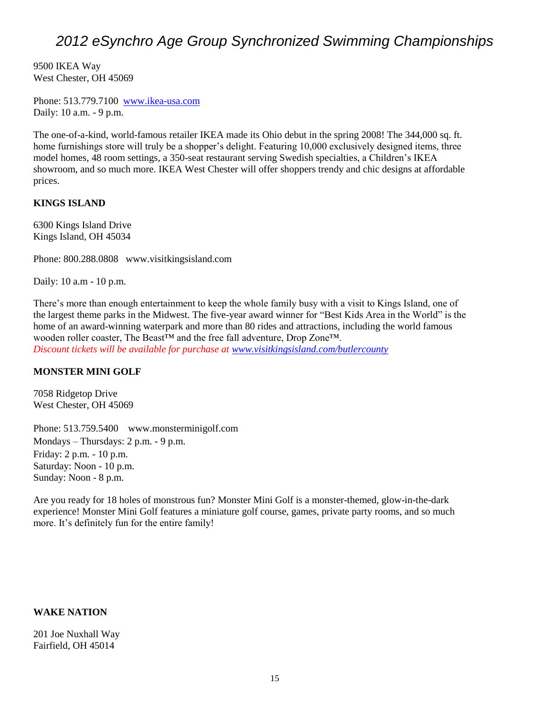9500 IKEA Way West Chester, OH 45069

Phone: 513.779.7100 [www.ikea-usa.com](http://www.ikea-usa.com/) Daily: 10 a.m. - 9 p.m.

The one-of-a-kind, world-famous retailer IKEA made its Ohio debut in the spring 2008! The 344,000 sq. ft. home furnishings store will truly be a shopper's delight. Featuring 10,000 exclusively designed items, three model homes, 48 room settings, a 350-seat restaurant serving Swedish specialties, a Children's IKEA showroom, and so much more. IKEA West Chester will offer shoppers trendy and chic designs at affordable prices.

#### **KINGS ISLAND**

6300 Kings Island Drive Kings Island, OH 45034

Phone: 800.288.0808 [www.visitkingsisland.com](http://aauinbutlercounty.com/aauDI/www.visitkingsisland.com)

Daily: 10 a.m - 10 p.m.

There's more than enough entertainment to keep the whole family busy with a visit to Kings Island, one of the largest theme parks in the Midwest. The five-year award winner for "Best Kids Area in the World" is the home of an award-winning waterpark and more than 80 rides and attractions, including the world famous wooden roller coaster, The Beast™ and the free fall adventure, Drop Zone™. *Discount tickets will be available for purchase at [www.visitkingsisland.com/butlercounty](http://www.visitkingsisland.com/butlercounty)*

#### **MONSTER MINI GOLF**

7058 Ridgetop Drive West Chester, OH 45069

Phone: 513.759.5400 www.monsterminigolf.com Mondays – Thursdays: 2 p.m. - 9 p.m. Friday: 2 p.m. - 10 p.m. Saturday: Noon - 10 p.m. Sunday: Noon - 8 p.m.

Are you ready for 18 holes of monstrous fun? Monster Mini Golf is a monster-themed, glow-in-the-dark experience! Monster Mini Golf features a miniature golf course, games, private party rooms, and so much more. It's definitely fun for the entire family!

#### **WAKE NATION**

201 Joe Nuxhall Way Fairfield, OH 45014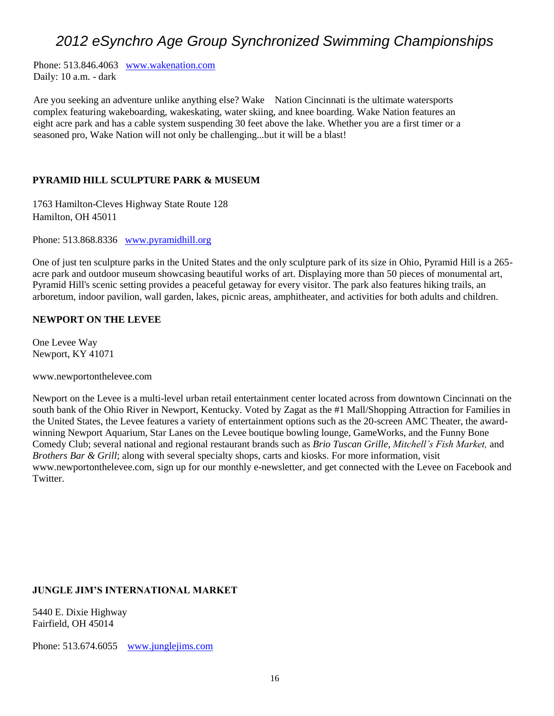Phone: 513.846.4063 [www.wakenation.com](http://www.wakenation.com/) Daily: 10 a.m. - dark

Are you seeking an adventure unlike anything else? Wake Nation Cincinnati is the ultimate watersports complex featuring wakeboarding, wakeskating, water skiing, and knee boarding. Wake Nation features an eight acre park and has a cable system suspending 30 feet above the lake. Whether you are a first timer or a seasoned pro, Wake Nation will not only be challenging...but it will be a blast!

#### **PYRAMID HILL SCULPTURE PARK & MUSEUM**

1763 Hamilton-Cleves Highway State Route 128 Hamilton, OH 45011

Phone: 513.868.8336 [www.pyramidhill.org](http://www.pyramidhill.org/)

One of just ten sculpture parks in the United States and the only sculpture park of its size in Ohio, Pyramid Hill is a 265 acre park and outdoor museum showcasing beautiful works of art. Displaying more than 50 pieces of monumental art, Pyramid Hill's scenic setting provides a peaceful getaway for every visitor. The park also features hiking trails, an arboretum, indoor pavilion, wall garden, lakes, picnic areas, amphitheater, and activities for both adults and children.

#### **NEWPORT ON THE LEVEE**

One Levee Way Newport, KY 41071

[www.newportonthelevee.com](http://www.newportonthelevee.com/) 

Newport on the Levee is a multi-level urban retail entertainment center located across from downtown Cincinnati on the south bank of the Ohio River in Newport, Kentucky. Voted by Zagat as the #1 Mall/Shopping Attraction for Families in the United States, the Levee features a variety of entertainment options such as the 20-screen AMC Theater, the awardwinning Newport Aquarium, Star Lanes on the Levee boutique bowling lounge, GameWorks, and the Funny Bone Comedy Club; several national and regional restaurant brands such as *Brio Tuscan Grille*, *Mitchell's Fish Market,* and *Brothers Bar & Grill*; along with several specialty shops, carts and kiosks. For more information, visit [www.newportonthelevee.com,](http://www.newportonthelevee.com/) sign up for our monthly e-newsletter, and get connected with the Levee on Facebook and Twitter.

#### **JUNGLE JIM'S INTERNATIONAL MARKET**

5440 E. Dixie Highway Fairfield, OH 45014

Phone: 513.674.6055 [www.junglejims.com](http://www.junglejims.com/)